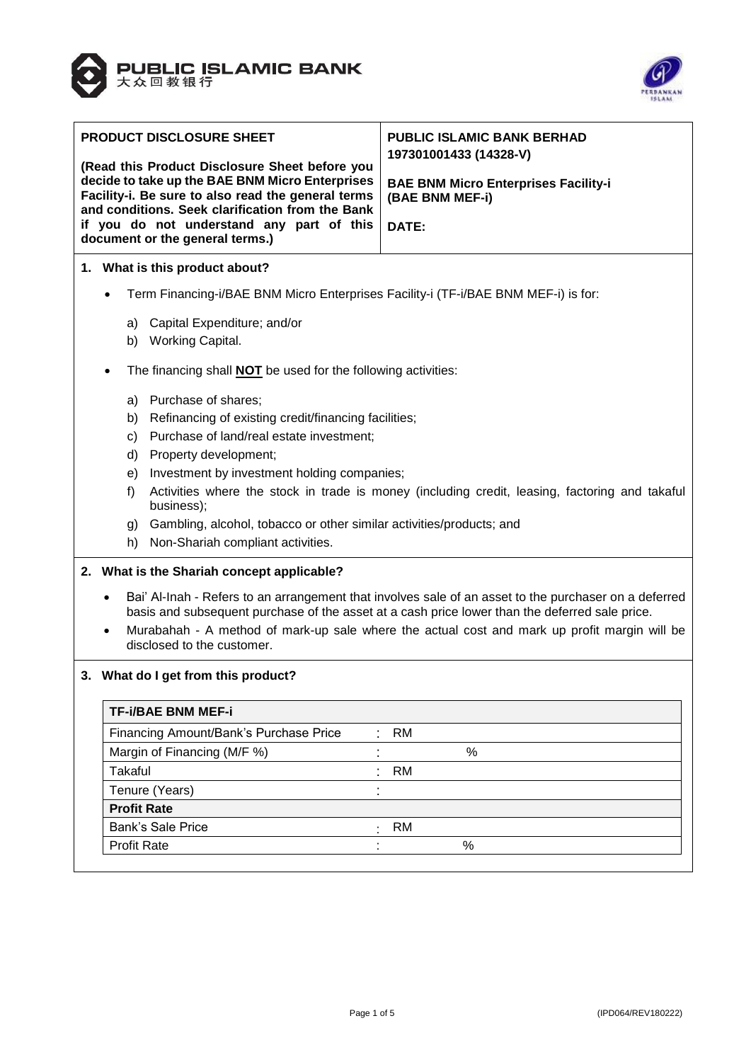



| PRODUCT DISCLOSURE SHEET                                                     |                                                                                                                                                                                                                      | <b>PUBLIC ISLAMIC BANK BERHAD</b><br>197301001433 (14328-V)                                    |  |  |
|------------------------------------------------------------------------------|----------------------------------------------------------------------------------------------------------------------------------------------------------------------------------------------------------------------|------------------------------------------------------------------------------------------------|--|--|
|                                                                              | (Read this Product Disclosure Sheet before you                                                                                                                                                                       |                                                                                                |  |  |
|                                                                              | decide to take up the BAE BNM Micro Enterprises<br>Facility-i. Be sure to also read the general terms<br>and conditions. Seek clarification from the Bank                                                            | <b>BAE BNM Micro Enterprises Facility-i</b><br>(BAE BNM MEF-i)                                 |  |  |
| if you do not understand any part of this<br>document or the general terms.) |                                                                                                                                                                                                                      | DATE:                                                                                          |  |  |
|                                                                              | 1. What is this product about?                                                                                                                                                                                       |                                                                                                |  |  |
|                                                                              | Term Financing-i/BAE BNM Micro Enterprises Facility-i (TF-i/BAE BNM MEF-i) is for:                                                                                                                                   |                                                                                                |  |  |
|                                                                              | a) Capital Expenditure; and/or                                                                                                                                                                                       |                                                                                                |  |  |
|                                                                              | b) Working Capital.                                                                                                                                                                                                  |                                                                                                |  |  |
|                                                                              | The financing shall <b>NOT</b> be used for the following activities:                                                                                                                                                 |                                                                                                |  |  |
|                                                                              | Purchase of shares;<br>a)                                                                                                                                                                                            |                                                                                                |  |  |
|                                                                              | Refinancing of existing credit/financing facilities;<br>b)                                                                                                                                                           |                                                                                                |  |  |
|                                                                              | Purchase of land/real estate investment;<br>C)                                                                                                                                                                       |                                                                                                |  |  |
|                                                                              | Property development;<br>d)                                                                                                                                                                                          |                                                                                                |  |  |
|                                                                              | Investment by investment holding companies;<br>e)                                                                                                                                                                    |                                                                                                |  |  |
|                                                                              | f)<br>business);                                                                                                                                                                                                     | Activities where the stock in trade is money (including credit, leasing, factoring and takaful |  |  |
|                                                                              | Gambling, alcohol, tobacco or other similar activities/products; and<br>g)                                                                                                                                           |                                                                                                |  |  |
|                                                                              | Non-Shariah compliant activities.<br>h)                                                                                                                                                                              |                                                                                                |  |  |
|                                                                              | 2. What is the Shariah concept applicable?                                                                                                                                                                           |                                                                                                |  |  |
|                                                                              | Bai' Al-Inah - Refers to an arrangement that involves sale of an asset to the purchaser on a deferred<br>$\bullet$<br>basis and subsequent purchase of the asset at a cash price lower than the deferred sale price. |                                                                                                |  |  |
|                                                                              | Murabahah - A method of mark-up sale where the actual cost and mark up profit margin will be<br>disclosed to the customer.                                                                                           |                                                                                                |  |  |
| What do I get from this product?                                             |                                                                                                                                                                                                                      |                                                                                                |  |  |
|                                                                              | <b>TF-i/BAE BNM MEF-i</b>                                                                                                                                                                                            |                                                                                                |  |  |
|                                                                              | Financing Amount/Bank's Purchase Price                                                                                                                                                                               | <b>RM</b>                                                                                      |  |  |
|                                                                              | Margin of Financing (M/F %)                                                                                                                                                                                          | %                                                                                              |  |  |
|                                                                              | <b>Takaful</b>                                                                                                                                                                                                       | <b>RM</b>                                                                                      |  |  |
|                                                                              | Tenure (Years)                                                                                                                                                                                                       |                                                                                                |  |  |
|                                                                              | <b>Profit Rate</b>                                                                                                                                                                                                   |                                                                                                |  |  |
|                                                                              | <b>Bank's Sale Price</b>                                                                                                                                                                                             | RM                                                                                             |  |  |
|                                                                              | <b>Profit Rate</b>                                                                                                                                                                                                   | $\%$                                                                                           |  |  |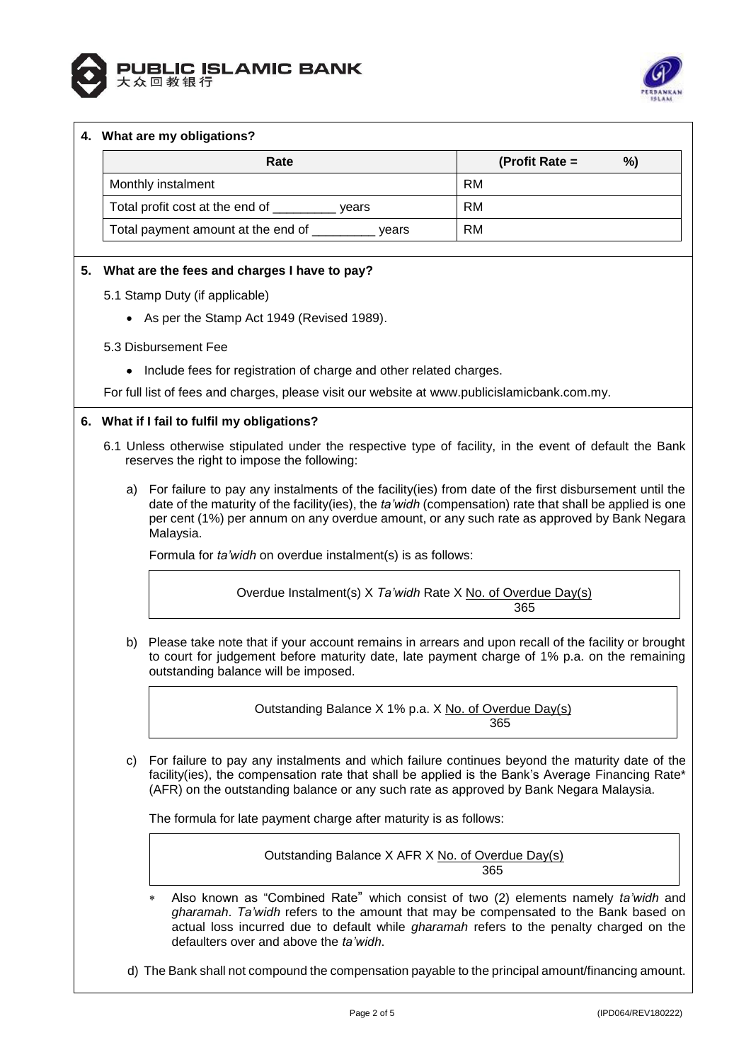



#### **4. What are my obligations?**

| Rate                                        | %)<br>(Profit Rate $=$ |
|---------------------------------------------|------------------------|
| Monthly instalment                          | RM                     |
| Total profit cost at the end of<br>vears    | RM                     |
| Total payment amount at the end of<br>vears | <b>RM</b>              |

# **5. What are the fees and charges I have to pay?**

- 5.1 Stamp Duty (if applicable)
	- As per the Stamp Act 1949 (Revised 1989).
- 5.3 Disbursement Fee
	- Include fees for registration of charge and other related charges.

For full list of fees and charges, please visit our website at [www.publicislamicbank.com.my.](http://www.publicislamicbank.com.my/)

# **6. What if I fail to fulfil my obligations?**

- 6.1 Unless otherwise stipulated under the respective type of facility, in the event of default the Bank reserves the right to impose the following:
	- a) For failure to pay any instalments of the facility(ies) from date of the first disbursement until the date of the maturity of the facility(ies), the *ta'widh* (compensation) rate that shall be applied is one per cent (1%) per annum on any overdue amount, or any such rate as approved by Bank Negara Malaysia.

Formula for *ta'widh* on overdue instalment(s) is as follows:

Overdue Instalment(s) X *Ta'widh* Rate X No. of Overdue Day(s) 365

b) Please take note that if your account remains in arrears and upon recall of the facility or brought to court for judgement before maturity date, late payment charge of 1% p.a. on the remaining outstanding balance will be imposed.

> Outstanding Balance X 1% p.a. X No. of Overdue Day(s) 365

c) For failure to pay any instalments and which failure continues beyond the maturity date of the facility(ies), the compensation rate that shall be applied is the Bank's Average Financing Rate\* (AFR) on the outstanding balance or any such rate as approved by Bank Negara Malaysia.

The formula for late payment charge after maturity is as follows:

Outstanding Balance X AFR X No. of Overdue Day(s) а в село во село во село во село во 1965 година, во 1965 година, постојата на 1965 година, кои 1965 година, по

 Also known as "Combined Rate" which consist of two (2) elements namely *ta'widh* and *gharamah*. *Ta'widh* refers to the amount that may be compensated to the Bank based on actual loss incurred due to default while *gharamah* refers to the penalty charged on the defaulters over and above the *ta'widh*.

d) The Bank shall not compound the compensation payable to the principal amount/financing amount.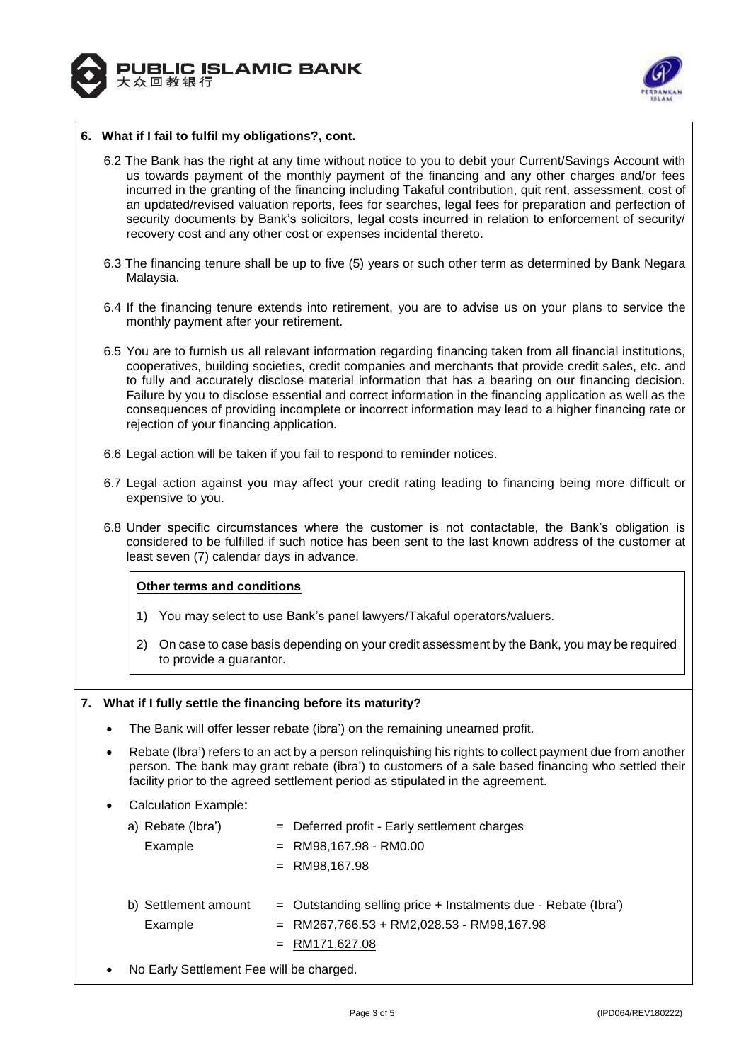



## **6. What if I fail to fulfil my obligations?, cont.**

- 6.2 The Bank has the right at any time without notice to you to debit your Current/Savings Account with us towards payment of the monthly payment of the financing and any other charges and/or fees incurred in the granting of the financing including Takaful contribution, quit rent, assessment, cost of an updated/revised valuation reports, fees for searches, legal fees for preparation and perfection of security documents by Bank's solicitors, legal costs incurred in relation to enforcement of security recovery cost and any other cost or expenses incidental thereto.
- 6.3 The financing tenure shall be up to five (5) years or such other term as determined by Bank Negara Malaysia.
- 6.4 If the financing tenure extends into retirement, you are to advise us on your plans to service the monthly payment after your retirement.
- 6.5 You are to furnish us all relevant information regarding financing taken from all financial institutions, cooperatives, building societies, credit companies and merchants that provide credit sales, etc. and to fully and accurately disclose material information that has a bearing on our financing decision. Failure by you to disclose essential and correct information in the financing application as well as the consequences of providing incomplete or incorrect information may lead to a higher financing rate or rejection of your financing application.
- 6.6 Legal action will be taken if you fail to respond to reminder notices.
- 6.7 Legal action against you may affect your credit rating leading to financing being more difficult or expensive to you.
- 6.8 Under specific circumstances where the customer is not contactable, the Bank's obligation is considered to be fulfilled if such notice has been sent to the last known address of the customer at least seven (7) calendar days in advance.

#### **Other terms and conditions**

- 1) You may select to use Bank's panel lawyers/Takaful operators/valuers.
- 2) On case to case basis depending on your credit assessment by the Bank, you may be required to provide a guarantor.

#### **7. What if I fully settle the financing before its maturity?**

- The Bank will offer lesser rebate (ibra') on the remaining unearned profit.
- Rebate (Ibra') refers to an act by a person relinquishing his rights to collect payment due from another person. The bank may grant rebate (ibra') to customers of a sale based financing who settled their facility prior to the agreed settlement period as stipulated in the agreement.
- Calculation Example:

| a) Rebate (Ibra')               | $=$ Deferred profit - Early settlement charges                                                                                      |
|---------------------------------|-------------------------------------------------------------------------------------------------------------------------------------|
| Example                         | $=$ RM98,167.98 - RM0.00                                                                                                            |
|                                 | $=$ RM98,167.98                                                                                                                     |
| b) Settlement amount<br>Example | $=$ Outstanding selling price + Instalments due - Rebate (Ibra')<br>$=$ RM267,766.53 + RM2,028.53 - RM98,167.98<br>$=$ RM171,627.08 |

No Early Settlement Fee will be charged.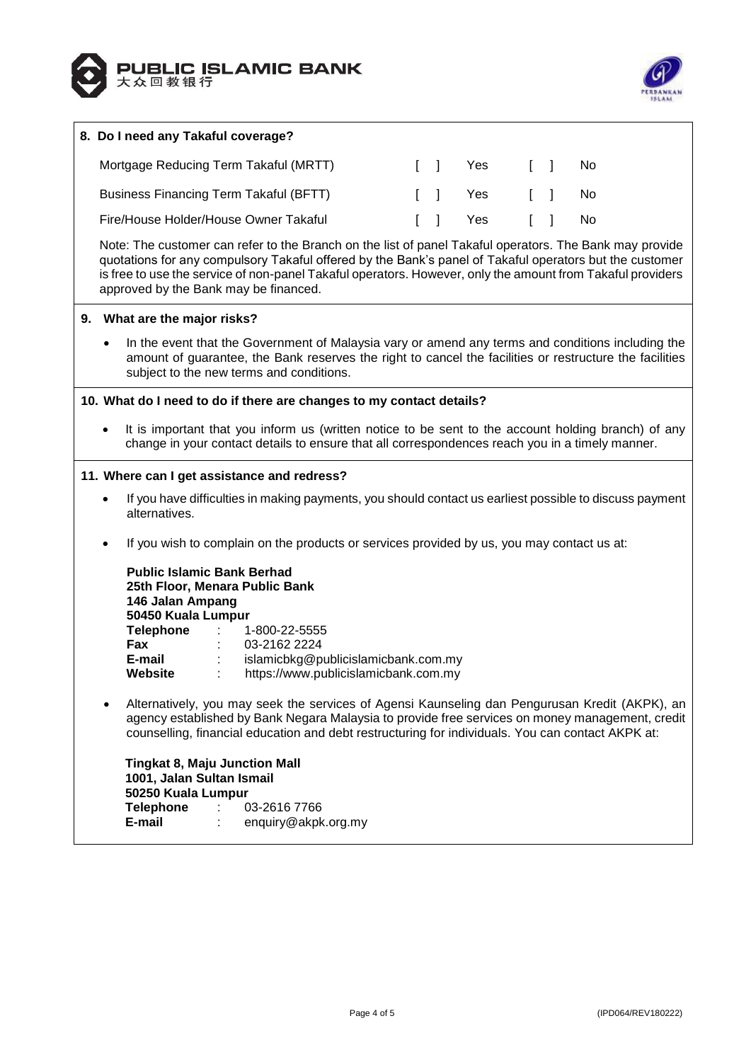



# **8. Do I need any Takaful coverage?** Mortgage Reducing Term Takaful (MRTT)  $\begin{array}{ccc} 1 & 1 & N_0 \end{array}$ Business Financing Term Takaful (BFTT)  $\qquad \qquad$  [ ] Yes [ ] No Fire/House Holder/House Owner Takaful [ ] Yes [ ] No Note: The customer can refer to the Branch on the list of panel Takaful operators. The Bank may provide quotations for any compulsory Takaful offered by the Bank's panel of Takaful operators but the customer is free to use the service of non-panel Takaful operators. However, only the amount from Takaful providers approved by the Bank may be financed. **9. What are the major risks?** In the event that the Government of Malaysia vary or amend any terms and conditions including the amount of guarantee, the Bank reserves the right to cancel the facilities or restructure the facilities subject to the new terms and conditions. **10. What do I need to do if there are changes to my contact details?** It is important that you inform us (written notice to be sent to the account holding branch) of any change in your contact details to ensure that all correspondences reach you in a timely manner. **11. Where can I get assistance and redress?** If you have difficulties in making payments, you should contact us earliest possible to discuss payment alternatives. If you wish to complain on the products or services provided by us, you may contact us at: **Public Islamic Bank Berhad 25th Floor, Menara Public Bank 146 Jalan Ampang 50450 Kuala Lumpur Telephone** : 1-800-22-5555 **Fax** : 03-2162 2224 **E-mail** : islamicbkg@publicislamicbank.com.my **Website** : https://www.publicislamicbank.com.my Alternatively, you may seek the services of Agensi Kaunseling dan Pengurusan Kredit (AKPK), an agency established by Bank Negara Malaysia to provide free services on money management, credit counselling, financial education and debt restructuring for individuals. You can contact AKPK at: **Tingkat 8, Maju Junction Mall 1001, Jalan Sultan Ismail 50250 Kuala Lumpur Telephone** : 03-2616 7766

**E-mail** : enquiry@akpk.org.my